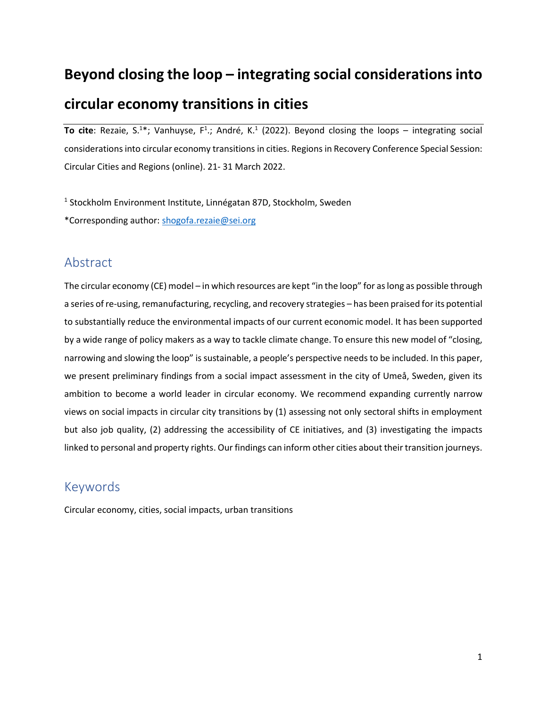# **Beyond closing the loop – integrating social considerations into circular economy transitions in cities**

To cite: Rezaie, S.<sup>1\*</sup>; Vanhuyse, F<sup>1</sup>.; André, K.<sup>1</sup> (2022). Beyond closing the loops – integrating social considerations into circular economy transitions in cities. Regions in Recovery Conference Special Session: Circular Cities and Regions (online). 21- 31 March 2022.

<sup>1</sup> Stockholm Environment Institute, Linnégatan 87D, Stockholm, Sweden \*Corresponding author: [shogofa.rezaie@sei.org](mailto:shogofa.rezaie@sei.org)

# Abstract

The circular economy (CE) model – in which resources are kept "in the loop" for as long as possible through a series of re-using, remanufacturing, recycling, and recovery strategies – has been praised for its potential to substantially reduce the environmental impacts of our current economic model. It has been supported by a wide range of policy makers as a way to tackle climate change. To ensure this new model of "closing, narrowing and slowing the loop" is sustainable, a people's perspective needs to be included. In this paper, we present preliminary findings from a social impact assessment in the city of Umeå, Sweden, given its ambition to become a world leader in circular economy. We recommend expanding currently narrow views on social impacts in circular city transitions by (1) assessing not only sectoral shifts in employment but also job quality, (2) addressing the accessibility of CE initiatives, and (3) investigating the impacts linked to personal and property rights. Our findings can inform other cities about their transition journeys.

# Keywords

Circular economy, cities, social impacts, urban transitions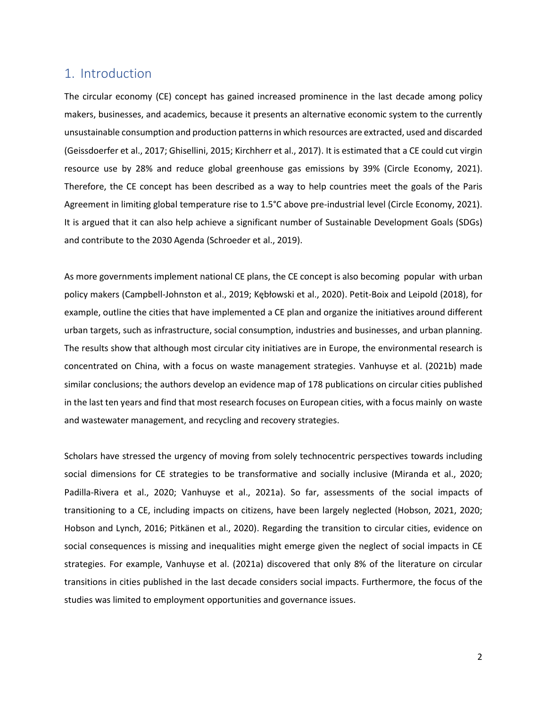# 1. Introduction

The circular economy (CE) concept has gained increased prominence in the last decade among policy makers, businesses, and academics, because it presents an alternative economic system to the currently unsustainable consumption and production patternsin which resources are extracted, used and discarded (Geissdoerfer et al., 2017; Ghisellini, 2015; Kirchherr et al., 2017). It is estimated that a CE could cut virgin resource use by 28% and reduce global greenhouse gas emissions by 39% (Circle Economy, 2021). Therefore, the CE concept has been described as a way to help countries meet the goals of the Paris Agreement in limiting global temperature rise to 1.5°C above pre-industrial level (Circle Economy, 2021). It is argued that it can also help achieve a significant number of Sustainable Development Goals (SDGs) and contribute to the 2030 Agenda (Schroeder et al., 2019).

As more governments implement national CE plans, the CE concept is also becoming popular with urban policy makers (Campbell-Johnston et al., 2019; Kębłowski et al., 2020). Petit-Boix and Leipold (2018), for example, outline the cities that have implemented a CE plan and organize the initiatives around different urban targets, such as infrastructure, social consumption, industries and businesses, and urban planning. The results show that although most circular city initiatives are in Europe, the environmental research is concentrated on China, with a focus on waste management strategies. Vanhuyse et al. (2021b) made similar conclusions; the authors develop an evidence map of 178 publications on circular cities published in the last ten years and find that most research focuses on European cities, with a focus mainly on waste and wastewater management, and recycling and recovery strategies.

Scholars have stressed the urgency of moving from solely technocentric perspectives towards including social dimensions for CE strategies to be transformative and socially inclusive (Miranda et al., 2020; Padilla-Rivera et al., 2020; Vanhuyse et al., 2021a). So far, assessments of the social impacts of transitioning to a CE, including impacts on citizens, have been largely neglected (Hobson, 2021, 2020; Hobson and Lynch, 2016; Pitkänen et al., 2020). Regarding the transition to circular cities, evidence on social consequences is missing and inequalities might emerge given the neglect of social impacts in CE strategies. For example, Vanhuyse et al. (2021a) discovered that only 8% of the literature on circular transitions in cities published in the last decade considers social impacts. Furthermore, the focus of the studies was limited to employment opportunities and governance issues.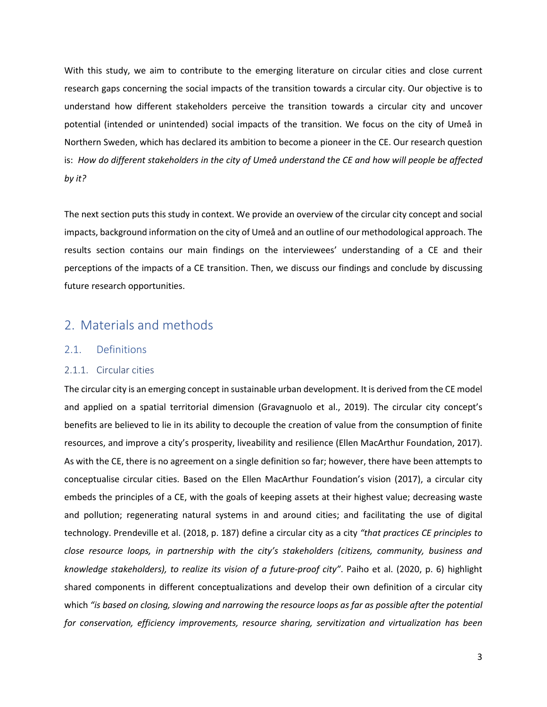With this study, we aim to contribute to the emerging literature on circular cities and close current research gaps concerning the social impacts of the transition towards a circular city. Our objective is to understand how different stakeholders perceive the transition towards a circular city and uncover potential (intended or unintended) social impacts of the transition. We focus on the city of Umeå in Northern Sweden, which has declared its ambition to become a pioneer in the CE. Our research question is: *How do different stakeholders in the city of Umeå understand the CE and how will people be affected by it?*

The next section puts this study in context. We provide an overview of the circular city concept and social impacts, background information on the city of Umeå and an outline of our methodological approach. The results section contains our main findings on the interviewees' understanding of a CE and their perceptions of the impacts of a CE transition. Then, we discuss our findings and conclude by discussing future research opportunities.

## 2. Materials and methods

### 2.1. Definitions

### 2.1.1. Circular cities

The circular city is an emerging concept in sustainable urban development. It is derived from the CE model and applied on a spatial territorial dimension (Gravagnuolo et al., 2019). The circular city concept's benefits are believed to lie in its ability to decouple the creation of value from the consumption of finite resources, and improve a city's prosperity, liveability and resilience (Ellen MacArthur Foundation, 2017). As with the CE, there is no agreement on a single definition so far; however, there have been attempts to conceptualise circular cities. Based on the Ellen MacArthur Foundation's vision (2017), a circular city embeds the principles of a CE, with the goals of keeping assets at their highest value; decreasing waste and pollution; regenerating natural systems in and around cities; and facilitating the use of digital technology. Prendeville et al. (2018, p. 187) define a circular city as a city *"that practices CE principles to close resource loops, in partnership with the city's stakeholders (citizens, community, business and knowledge stakeholders), to realize its vision of a future-proof city"*. Paiho et al. (2020, p. 6) highlight shared components in different conceptualizations and develop their own definition of a circular city which *"is based on closing, slowing and narrowing the resource loops as far as possible after the potential for conservation, efficiency improvements, resource sharing, servitization and virtualization has been*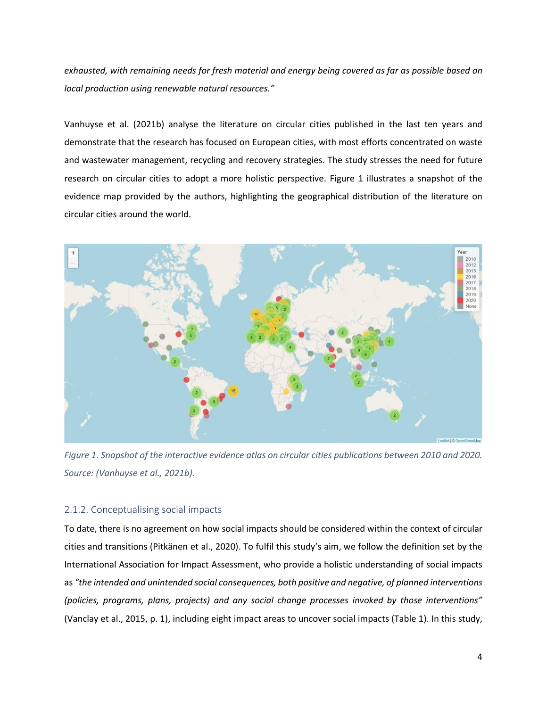*exhausted, with remaining needs for fresh material and energy being covered as far as possible based on local production using renewable natural resources."*

Vanhuyse et al. (2021b) analyse the literature on circular cities published in the last ten years and demonstrate that the research has focused on European cities, with most efforts concentrated on waste and wastewater management, recycling and recovery strategies. The study stresses the need for future research on circular cities to adopt a more holistic perspective. Figure 1 illustrates a snapshot of the evidence map provided by the authors, highlighting the geographical distribution of the literature on circular cities around the world.



*Figure 1. Snapshot of the interactive evidence atlas on circular cities publications between 2010 and 2020. Source: (Vanhuyse et al., 2021b).* 

### 2.1.2. Conceptualising social impacts

To date, there is no agreement on how social impacts should be considered within the context of circular cities and transitions (Pitkänen et al., 2020). To fulfil this study's aim, we follow the definition set by the International Association for Impact Assessment, who provide a holistic understanding of social impacts as *"the intended and unintended social consequences, both positive and negative, of planned interventions (policies, programs, plans, projects) and any social change processes invoked by those interventions"* (Vanclay et al., 2015, p. 1), including eight impact areas to uncover social impacts (Table 1). In this study,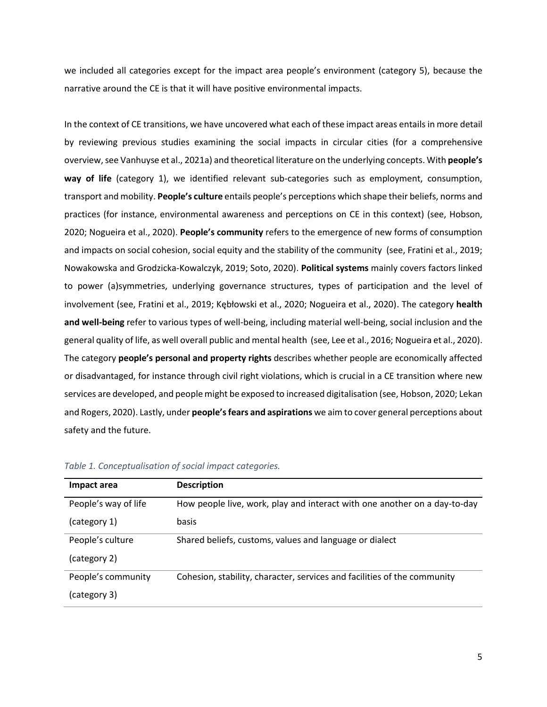we included all categories except for the impact area people's environment (category 5), because the narrative around the CE is that it will have positive environmental impacts.

In the context of CE transitions, we have uncovered what each of these impact areas entails in more detail by reviewing previous studies examining the social impacts in circular cities (for a comprehensive overview, see Vanhuyse et al., 2021a) and theoretical literature on the underlying concepts. With **people's way of life** (category 1), we identified relevant sub-categories such as employment, consumption, transport and mobility. **People's culture** entails people's perceptions which shape their beliefs, norms and practices (for instance, environmental awareness and perceptions on CE in this context) (see, Hobson, 2020; Nogueira et al., 2020). **People's community** refers to the emergence of new forms of consumption and impacts on social cohesion, social equity and the stability of the community (see, Fratini et al., 2019; Nowakowska and Grodzicka-Kowalczyk, 2019; Soto, 2020). **Political systems** mainly covers factors linked to power (a)symmetries, underlying governance structures, types of participation and the level of involvement (see, Fratini et al., 2019; Kębłowski et al., 2020; Nogueira et al., 2020). The category **health and well-being** refer to various types of well-being, including material well-being, social inclusion and the general quality of life, as well overall public and mental health (see, Lee et al., 2016; Nogueira et al., 2020). The category **people's personal and property rights** describes whether people are economically affected or disadvantaged, for instance through civil right violations, which is crucial in a CE transition where new services are developed, and people might be exposed to increased digitalisation (see, Hobson, 2020; Lekan and Rogers, 2020). Lastly, under **people's fears and aspirations** we aim to cover general perceptions about safety and the future.

| Impact area          | <b>Description</b>                                                        |
|----------------------|---------------------------------------------------------------------------|
| People's way of life | How people live, work, play and interact with one another on a day-to-day |
| (category 1)         | basis                                                                     |
| People's culture     | Shared beliefs, customs, values and language or dialect                   |
| (category 2)         |                                                                           |
| People's community   | Cohesion, stability, character, services and facilities of the community  |
| (category 3)         |                                                                           |

|  | Table 1. Conceptualisation of social impact categories. |  |
|--|---------------------------------------------------------|--|
|  |                                                         |  |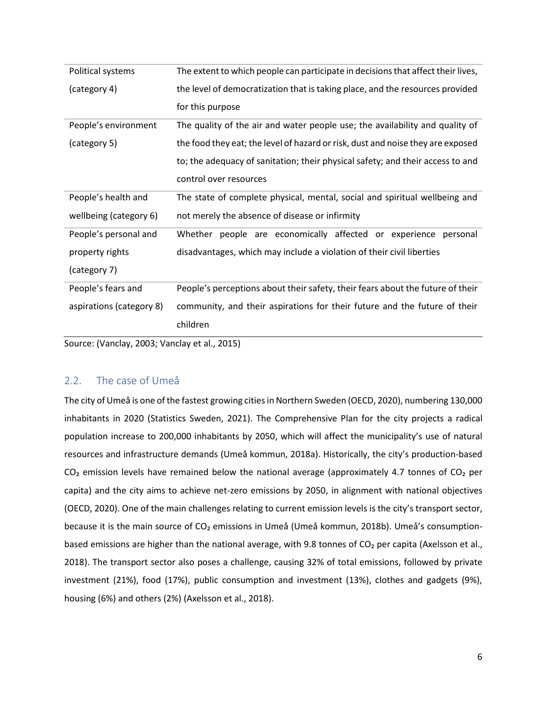| Political systems        | The extent to which people can participate in decisions that affect their lives, |
|--------------------------|----------------------------------------------------------------------------------|
| (category 4)             | the level of democratization that is taking place, and the resources provided    |
|                          | for this purpose                                                                 |
| People's environment     | The quality of the air and water people use; the availability and quality of     |
| (category 5)             | the food they eat; the level of hazard or risk, dust and noise they are exposed  |
|                          | to; the adequacy of sanitation; their physical safety; and their access to and   |
|                          | control over resources                                                           |
| People's health and      | The state of complete physical, mental, social and spiritual wellbeing and       |
| wellbeing (category 6)   | not merely the absence of disease or infirmity                                   |
| People's personal and    | Whether people are economically affected or experience personal                  |
| property rights          | disadvantages, which may include a violation of their civil liberties            |
| (category 7)             |                                                                                  |
| People's fears and       | People's perceptions about their safety, their fears about the future of their   |
| aspirations (category 8) | community, and their aspirations for their future and the future of their        |
|                          | children                                                                         |

Source: (Vanclay, 2003; Vanclay et al., 2015)

### 2.2. The case of Umeå

The city of Umeå is one of the fastest growing cities in Northern Sweden (OECD, 2020), numbering 130,000 inhabitants in 2020 (Statistics Sweden, 2021). The Comprehensive Plan for the city projects a radical population increase to 200,000 inhabitants by 2050, which will affect the municipality's use of natural resources and infrastructure demands (Umeå kommun, 2018a). Historically, the city's production-based  $CO<sub>2</sub>$  emission levels have remained below the national average (approximately 4.7 tonnes of  $CO<sub>2</sub>$  per capita) and the city aims to achieve net-zero emissions by 2050, in alignment with national objectives (OECD, 2020). One of the main challenges relating to current emission levels is the city's transport sector, because it is the main source of CO<sub>2</sub> emissions in Umeå (Umeå kommun, 2018b). Umeå's consumptionbased emissions are higher than the national average, with 9.8 tonnes of CO<sub>2</sub> per capita (Axelsson et al., 2018). The transport sector also poses a challenge, causing 32% of total emissions, followed by private investment (21%), food (17%), public consumption and investment (13%), clothes and gadgets (9%), housing (6%) and others (2%) (Axelsson et al., 2018).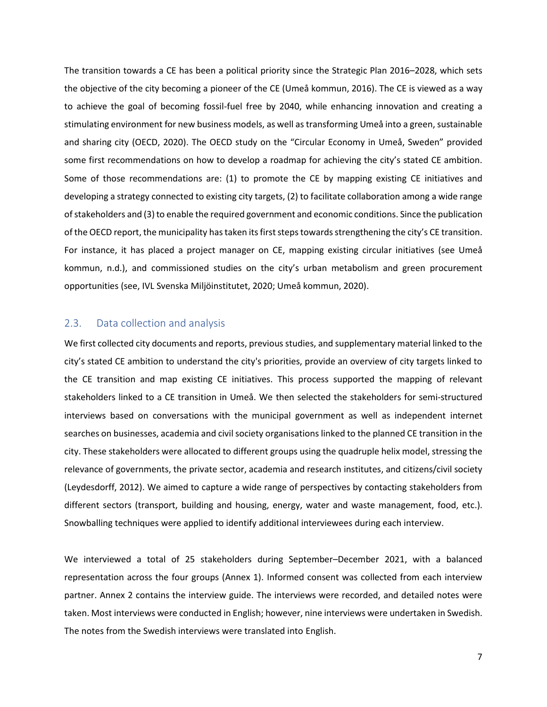The transition towards a CE has been a political priority since the Strategic Plan 2016–2028, which sets the objective of the city becoming a pioneer of the CE (Umeå kommun, 2016). The CE is viewed as a way to achieve the goal of becoming fossil-fuel free by 2040, while enhancing innovation and creating a stimulating environment for new business models, as well astransforming Umeå into a green, sustainable and sharing city (OECD, 2020). The OECD study on the "Circular Economy in Umeå, Sweden" provided some first recommendations on how to develop a roadmap for achieving the city's stated CE ambition. Some of those recommendations are: (1) to promote the CE by mapping existing CE initiatives and developing a strategy connected to existing city targets, (2) to facilitate collaboration among a wide range of stakeholders and (3) to enable the required government and economic conditions. Since the publication of the OECD report, the municipality hastaken itsfirst stepstowardsstrengthening the city's CE transition. For instance, it has placed a project manager on CE, mapping existing circular initiatives (see Umeå kommun, n.d.), and commissioned studies on the city's urban metabolism and green procurement opportunities (see, IVL Svenska Miljöinstitutet, 2020; Umeå kommun, 2020).

### 2.3. Data collection and analysis

We first collected city documents and reports, previous studies, and supplementary material linked to the city's stated CE ambition to understand the city's priorities, provide an overview of city targets linked to the CE transition and map existing CE initiatives. This process supported the mapping of relevant stakeholders linked to a CE transition in Umeå. We then selected the stakeholders for semi-structured interviews based on conversations with the municipal government as well as independent internet searches on businesses, academia and civil society organisations linked to the planned CE transition in the city. These stakeholders were allocated to different groups using the quadruple helix model, stressing the relevance of governments, the private sector, academia and research institutes, and citizens/civil society (Leydesdorff, 2012). We aimed to capture a wide range of perspectives by contacting stakeholders from different sectors (transport, building and housing, energy, water and waste management, food, etc.). Snowballing techniques were applied to identify additional interviewees during each interview.

We interviewed a total of 25 stakeholders during September–December 2021, with a balanced representation across the four groups (Annex 1). Informed consent was collected from each interview partner. Annex 2 contains the interview guide. The interviews were recorded, and detailed notes were taken. Most interviews were conducted in English; however, nine interviews were undertaken in Swedish. The notes from the Swedish interviews were translated into English.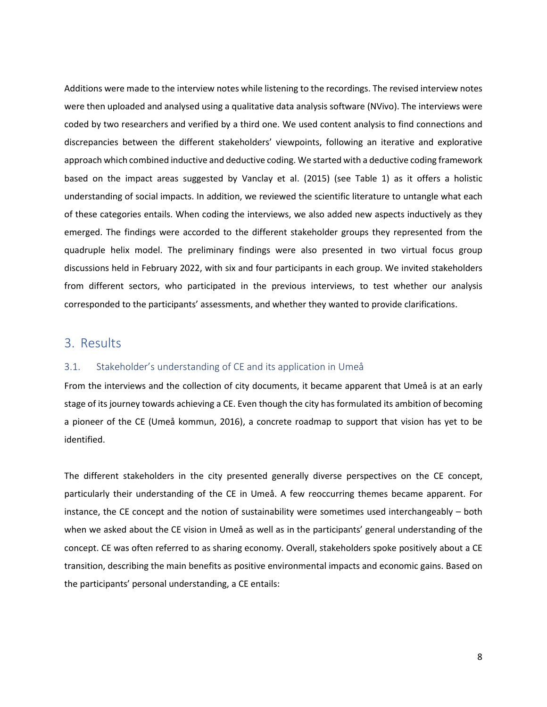Additions were made to the interview notes while listening to the recordings. The revised interview notes were then uploaded and analysed using a qualitative data analysis software (NVivo). The interviews were coded by two researchers and verified by a third one. We used content analysis to find connections and discrepancies between the different stakeholders' viewpoints, following an iterative and explorative approach which combined inductive and deductive coding. We started with a deductive coding framework based on the impact areas suggested by Vanclay et al. (2015) (see Table 1) as it offers a holistic understanding of social impacts. In addition, we reviewed the scientific literature to untangle what each of these categories entails. When coding the interviews, we also added new aspects inductively as they emerged. The findings were accorded to the different stakeholder groups they represented from the quadruple helix model. The preliminary findings were also presented in two virtual focus group discussions held in February 2022, with six and four participants in each group. We invited stakeholders from different sectors, who participated in the previous interviews, to test whether our analysis corresponded to the participants' assessments, and whether they wanted to provide clarifications.

### 3. Results

### 3.1. Stakeholder's understanding of CE and its application in Umeå

From the interviews and the collection of city documents, it became apparent that Umeå is at an early stage of its journey towards achieving a CE. Even though the city has formulated its ambition of becoming a pioneer of the CE (Umeå kommun, 2016), a concrete roadmap to support that vision has yet to be identified.

The different stakeholders in the city presented generally diverse perspectives on the CE concept, particularly their understanding of the CE in Umeå. A few reoccurring themes became apparent. For instance, the CE concept and the notion of sustainability were sometimes used interchangeably – both when we asked about the CE vision in Umeå as well as in the participants' general understanding of the concept. CE was often referred to as sharing economy. Overall, stakeholders spoke positively about a CE transition, describing the main benefits as positive environmental impacts and economic gains. Based on the participants' personal understanding, a CE entails: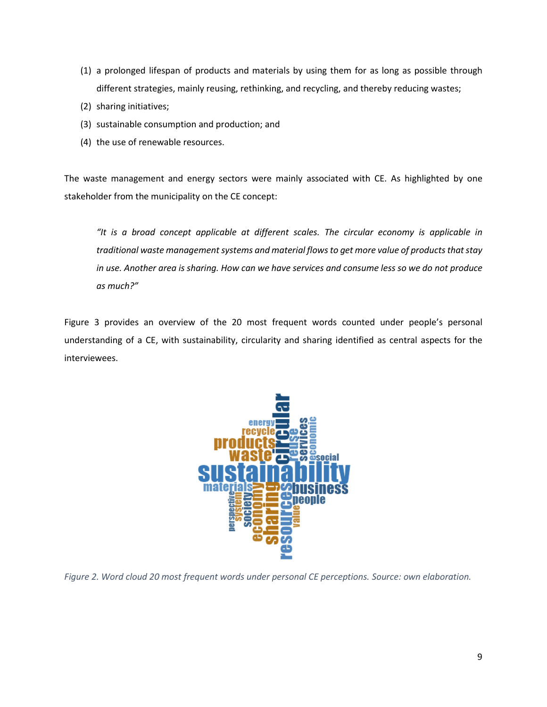- (1) a prolonged lifespan of products and materials by using them for as long as possible through different strategies, mainly reusing, rethinking, and recycling, and thereby reducing wastes;
- (2) sharing initiatives;
- (3) sustainable consumption and production; and
- (4) the use of renewable resources.

The waste management and energy sectors were mainly associated with CE. As highlighted by one stakeholder from the municipality on the CE concept:

*"It is a broad concept applicable at different scales. The circular economy is applicable in traditional waste management systems and material flows to get more value of products that stay in use. Another area is sharing. How can we have services and consume less so we do not produce as much?"*

Figure 3 provides an overview of the 20 most frequent words counted under people's personal understanding of a CE, with sustainability, circularity and sharing identified as central aspects for the interviewees.



*Figure 2. Word cloud 20 most frequent words under personal CE perceptions. Source: own elaboration.*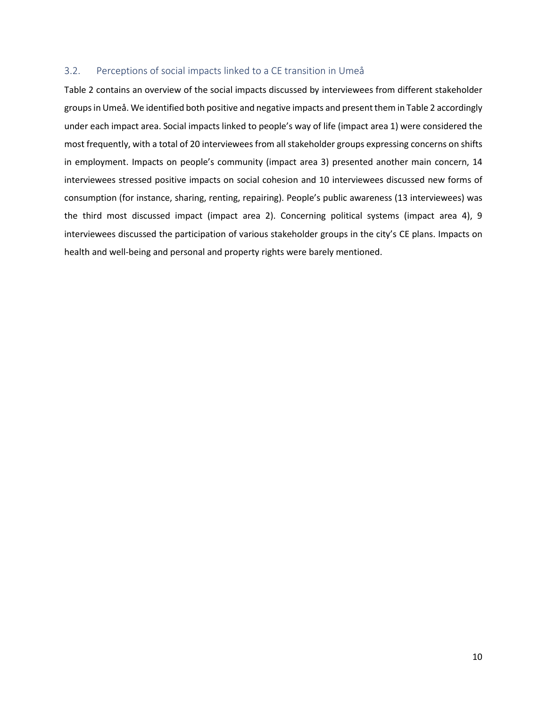### 3.2. Perceptions of social impacts linked to a CE transition in Umeå

Table 2 contains an overview of the social impacts discussed by interviewees from different stakeholder groups in Umeå. We identified both positive and negative impacts and present them in Table 2 accordingly under each impact area. Social impacts linked to people's way of life (impact area 1) were considered the most frequently, with a total of 20 interviewees from all stakeholder groups expressing concerns on shifts in employment. Impacts on people's community (impact area 3) presented another main concern, 14 interviewees stressed positive impacts on social cohesion and 10 interviewees discussed new forms of consumption (for instance, sharing, renting, repairing). People's public awareness (13 interviewees) was the third most discussed impact (impact area 2). Concerning political systems (impact area 4), 9 interviewees discussed the participation of various stakeholder groups in the city's CE plans. Impacts on health and well-being and personal and property rights were barely mentioned.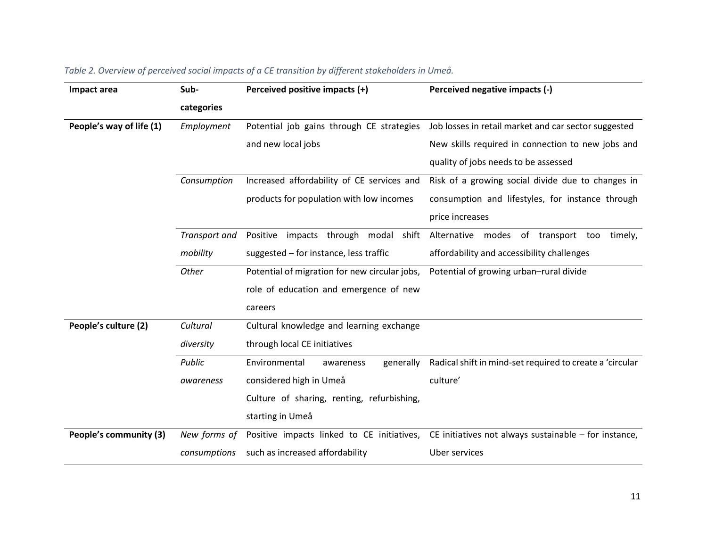| Impact area              | Sub-                                               | Perceived positive impacts (+)                | Perceived negative impacts (-)                           |  |
|--------------------------|----------------------------------------------------|-----------------------------------------------|----------------------------------------------------------|--|
|                          | categories                                         |                                               |                                                          |  |
| People's way of life (1) | Employment                                         | Potential job gains through CE strategies     | Job losses in retail market and car sector suggested     |  |
|                          |                                                    | and new local jobs                            | New skills required in connection to new jobs and        |  |
|                          |                                                    |                                               | quality of jobs needs to be assessed                     |  |
|                          | Consumption                                        | Increased affordability of CE services and    | Risk of a growing social divide due to changes in        |  |
|                          |                                                    | products for population with low incomes      | consumption and lifestyles, for instance through         |  |
|                          |                                                    |                                               | price increases                                          |  |
|                          | Transport and                                      | Positive impacts through modal shift          | Alternative modes of transport too<br>timely,            |  |
|                          | mobility<br>suggested - for instance, less traffic |                                               | affordability and accessibility challenges               |  |
|                          | Other                                              | Potential of migration for new circular jobs, | Potential of growing urban-rural divide                  |  |
|                          |                                                    | role of education and emergence of new        |                                                          |  |
|                          |                                                    | careers                                       |                                                          |  |
| People's culture (2)     | Cultural                                           | Cultural knowledge and learning exchange      |                                                          |  |
|                          | diversity                                          | through local CE initiatives                  |                                                          |  |
|                          | Public                                             | Environmental<br>generally<br>awareness       | Radical shift in mind-set required to create a 'circular |  |
|                          | awareness                                          | considered high in Umeå                       | culture'                                                 |  |
|                          |                                                    | Culture of sharing, renting, refurbishing,    |                                                          |  |
|                          |                                                    | starting in Umeå                              |                                                          |  |
| People's community (3)   | New forms of                                       | Positive impacts linked to CE initiatives,    | CE initiatives not always sustainable $-$ for instance,  |  |
|                          | consumptions                                       | such as increased affordability               | Uber services                                            |  |

## *Table 2. Overview of perceived social impacts of a CE transition by different stakeholders in Umeå.*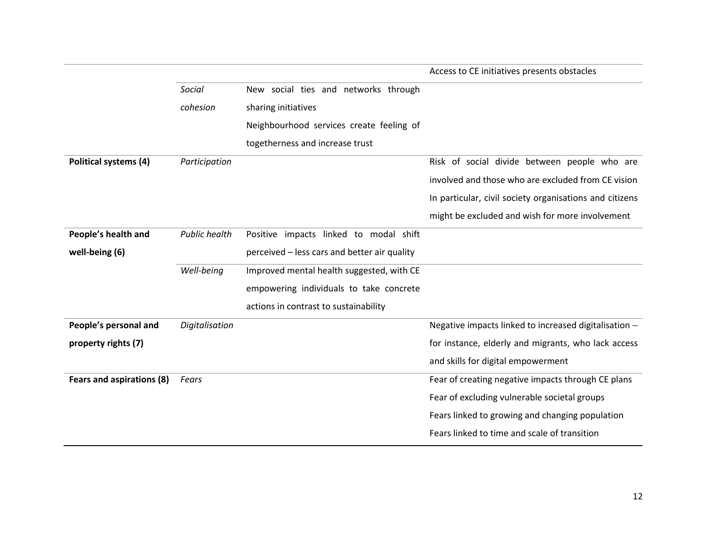|                           |                      |                                              | Access to CE initiatives presents obstacles             |
|---------------------------|----------------------|----------------------------------------------|---------------------------------------------------------|
|                           | Social               | New social ties and networks through         |                                                         |
|                           | cohesion             | sharing initiatives                          |                                                         |
|                           |                      | Neighbourhood services create feeling of     |                                                         |
|                           |                      | togetherness and increase trust              |                                                         |
| Political systems (4)     | Participation        |                                              | Risk of social divide between people who are            |
|                           |                      |                                              | involved and those who are excluded from CE vision      |
|                           |                      |                                              | In particular, civil society organisations and citizens |
|                           |                      |                                              | might be excluded and wish for more involvement         |
| People's health and       | <b>Public health</b> | Positive impacts linked to modal shift       |                                                         |
| well-being (6)            |                      | perceived - less cars and better air quality |                                                         |
|                           | Well-being           | Improved mental health suggested, with CE    |                                                         |
|                           |                      | empowering individuals to take concrete      |                                                         |
|                           |                      | actions in contrast to sustainability        |                                                         |
| People's personal and     | Digitalisation       |                                              | Negative impacts linked to increased digitalisation -   |
| property rights (7)       |                      |                                              | for instance, elderly and migrants, who lack access     |
|                           |                      |                                              | and skills for digital empowerment                      |
| Fears and aspirations (8) | Fears                |                                              | Fear of creating negative impacts through CE plans      |
|                           |                      |                                              | Fear of excluding vulnerable societal groups            |
|                           |                      |                                              | Fears linked to growing and changing population         |
|                           |                      |                                              | Fears linked to time and scale of transition            |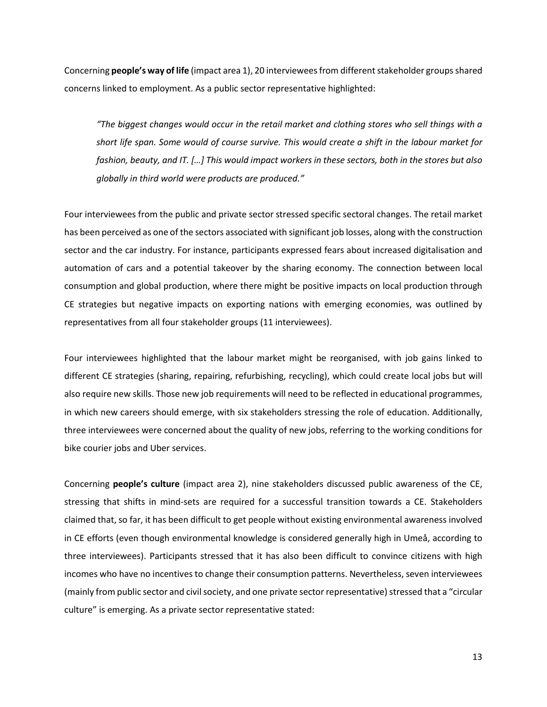Concerning **people's way of life** (impact area 1), 20 interviewees from different stakeholder groups shared concerns linked to employment. As a public sector representative highlighted:

*"The biggest changes would occur in the retail market and clothing stores who sell things with a short life span. Some would of course survive. This would create a shift in the labour market for fashion, beauty, and IT. […] This would impact workers in these sectors, both in the stores but also globally in third world were products are produced."*

Four interviewees from the public and private sector stressed specific sectoral changes. The retail market has been perceived as one of the sectors associated with significant job losses, along with the construction sector and the car industry. For instance, participants expressed fears about increased digitalisation and automation of cars and a potential takeover by the sharing economy. The connection between local consumption and global production, where there might be positive impacts on local production through CE strategies but negative impacts on exporting nations with emerging economies, was outlined by representatives from all four stakeholder groups (11 interviewees).

Four interviewees highlighted that the labour market might be reorganised, with job gains linked to different CE strategies (sharing, repairing, refurbishing, recycling), which could create local jobs but will also require new skills. Those new job requirements will need to be reflected in educational programmes, in which new careers should emerge, with six stakeholders stressing the role of education. Additionally, three interviewees were concerned about the quality of new jobs, referring to the working conditions for bike courier jobs and Uber services.

Concerning **people's culture** (impact area 2), nine stakeholders discussed public awareness of the CE, stressing that shifts in mind-sets are required for a successful transition towards a CE. Stakeholders claimed that, so far, it has been difficult to get people without existing environmental awareness involved in CE efforts (even though environmental knowledge is considered generally high in Umeå, according to three interviewees). Participants stressed that it has also been difficult to convince citizens with high incomes who have no incentives to change their consumption patterns. Nevertheless, seven interviewees (mainly from public sector and civil society, and one private sector representative) stressed that a "circular culture" is emerging. As a private sector representative stated:

13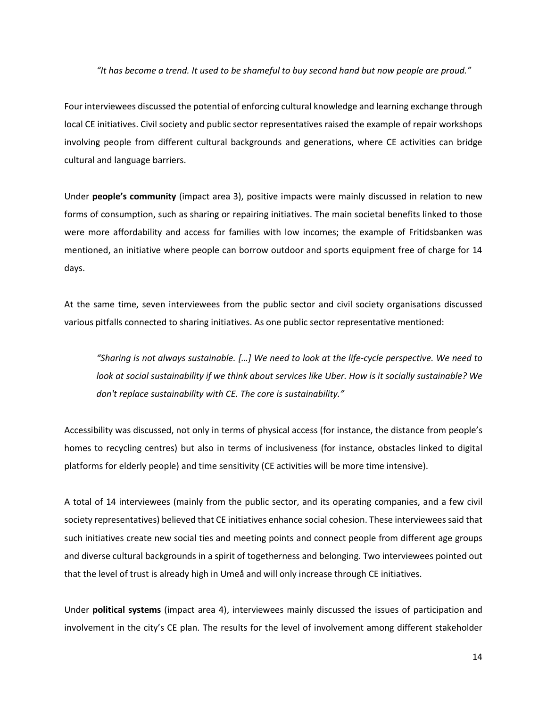#### *"It has become a trend. It used to be shameful to buy second hand but now people are proud."*

Four interviewees discussed the potential of enforcing cultural knowledge and learning exchange through local CE initiatives. Civil society and public sector representatives raised the example of repair workshops involving people from different cultural backgrounds and generations, where CE activities can bridge cultural and language barriers.

Under **people's community** (impact area 3), positive impacts were mainly discussed in relation to new forms of consumption, such as sharing or repairing initiatives. The main societal benefits linked to those were more affordability and access for families with low incomes; the example of Fritidsbanken was mentioned, an initiative where people can borrow outdoor and sports equipment free of charge for 14 days.

At the same time, seven interviewees from the public sector and civil society organisations discussed various pitfalls connected to sharing initiatives. As one public sector representative mentioned:

*"Sharing is not always sustainable. […] We need to look at the life-cycle perspective. We need to look at social sustainability if we think about services like Uber. How is it socially sustainable? We don't replace sustainability with CE. The core is sustainability."*

Accessibility was discussed, not only in terms of physical access (for instance, the distance from people's homes to recycling centres) but also in terms of inclusiveness (for instance, obstacles linked to digital platforms for elderly people) and time sensitivity (CE activities will be more time intensive).

A total of 14 interviewees (mainly from the public sector, and its operating companies, and a few civil society representatives) believed that CE initiatives enhance social cohesion. These interviewees said that such initiatives create new social ties and meeting points and connect people from different age groups and diverse cultural backgrounds in a spirit of togetherness and belonging. Two interviewees pointed out that the level of trust is already high in Umeå and will only increase through CE initiatives.

Under **political systems** (impact area 4), interviewees mainly discussed the issues of participation and involvement in the city's CE plan. The results for the level of involvement among different stakeholder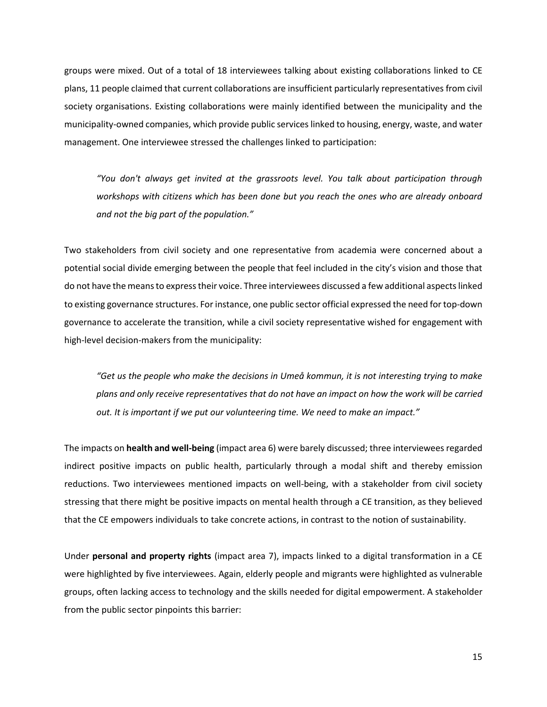groups were mixed. Out of a total of 18 interviewees talking about existing collaborations linked to CE plans, 11 people claimed that current collaborations are insufficient particularly representatives from civil society organisations. Existing collaborations were mainly identified between the municipality and the municipality-owned companies, which provide public services linked to housing, energy, waste, and water management. One interviewee stressed the challenges linked to participation:

*"You don't always get invited at the grassroots level. You talk about participation through workshops with citizens which has been done but you reach the ones who are already onboard and not the big part of the population."*

Two stakeholders from civil society and one representative from academia were concerned about a potential social divide emerging between the people that feel included in the city's vision and those that do not have the means to express their voice. Three interviewees discussed a few additional aspects linked to existing governance structures. For instance, one public sector official expressed the need for top-down governance to accelerate the transition, while a civil society representative wished for engagement with high-level decision-makers from the municipality:

*"Get us the people who make the decisions in Umeå kommun, it is not interesting trying to make plans and only receive representatives that do not have an impact on how the work will be carried out. It is important if we put our volunteering time. We need to make an impact."* 

The impacts on **health and well-being** (impact area 6) were barely discussed; three interviewees regarded indirect positive impacts on public health, particularly through a modal shift and thereby emission reductions. Two interviewees mentioned impacts on well-being, with a stakeholder from civil society stressing that there might be positive impacts on mental health through a CE transition, as they believed that the CE empowers individuals to take concrete actions, in contrast to the notion of sustainability.

Under **personal and property rights** (impact area 7), impacts linked to a digital transformation in a CE were highlighted by five interviewees. Again, elderly people and migrants were highlighted as vulnerable groups, often lacking access to technology and the skills needed for digital empowerment. A stakeholder from the public sector pinpoints this barrier: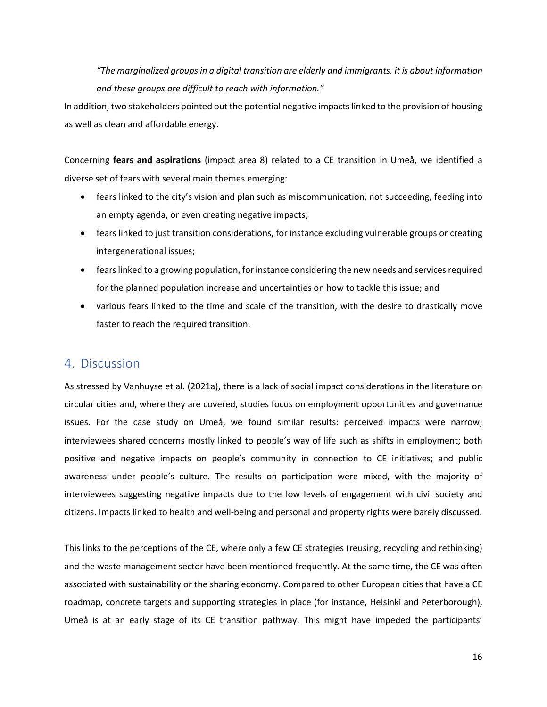*"The marginalized groups in a digital transition are elderly and immigrants, it is about information and these groups are difficult to reach with information."*

In addition, two stakeholders pointed out the potential negative impacts linked to the provision of housing as well as clean and affordable energy.

Concerning **fears and aspirations** (impact area 8) related to a CE transition in Umeå, we identified a diverse set of fears with several main themes emerging:

- fears linked to the city's vision and plan such as miscommunication, not succeeding, feeding into an empty agenda, or even creating negative impacts;
- fears linked to just transition considerations, for instance excluding vulnerable groups or creating intergenerational issues;
- fears linked to a growing population, for instance considering the new needs and services required for the planned population increase and uncertainties on how to tackle this issue; and
- various fears linked to the time and scale of the transition, with the desire to drastically move faster to reach the required transition.

# 4. Discussion

As stressed by Vanhuyse et al. (2021a), there is a lack of social impact considerations in the literature on circular cities and, where they are covered, studies focus on employment opportunities and governance issues. For the case study on Umeå, we found similar results: perceived impacts were narrow; interviewees shared concerns mostly linked to people's way of life such as shifts in employment; both positive and negative impacts on people's community in connection to CE initiatives; and public awareness under people's culture. The results on participation were mixed, with the majority of interviewees suggesting negative impacts due to the low levels of engagement with civil society and citizens. Impacts linked to health and well-being and personal and property rights were barely discussed.

This links to the perceptions of the CE, where only a few CE strategies (reusing, recycling and rethinking) and the waste management sector have been mentioned frequently. At the same time, the CE was often associated with sustainability or the sharing economy. Compared to other European cities that have a CE roadmap, concrete targets and supporting strategies in place (for instance, Helsinki and Peterborough), Umeå is at an early stage of its CE transition pathway. This might have impeded the participants'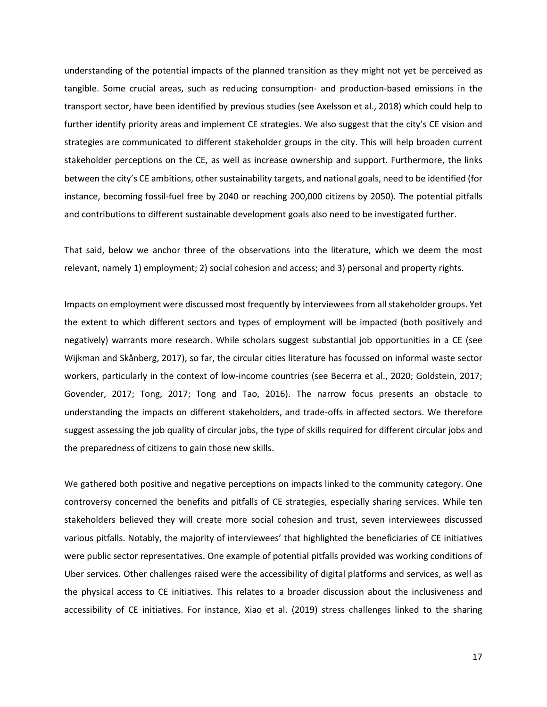understanding of the potential impacts of the planned transition as they might not yet be perceived as tangible. Some crucial areas, such as reducing consumption- and production-based emissions in the transport sector, have been identified by previous studies (see Axelsson et al., 2018) which could help to further identify priority areas and implement CE strategies. We also suggest that the city's CE vision and strategies are communicated to different stakeholder groups in the city. This will help broaden current stakeholder perceptions on the CE, as well as increase ownership and support. Furthermore, the links between the city's CE ambitions, other sustainability targets, and national goals, need to be identified (for instance, becoming fossil-fuel free by 2040 or reaching 200,000 citizens by 2050). The potential pitfalls and contributions to different sustainable development goals also need to be investigated further.

That said, below we anchor three of the observations into the literature, which we deem the most relevant, namely 1) employment; 2) social cohesion and access; and 3) personal and property rights.

Impacts on employment were discussed most frequently by interviewees from all stakeholder groups. Yet the extent to which different sectors and types of employment will be impacted (both positively and negatively) warrants more research. While scholars suggest substantial job opportunities in a CE (see Wijkman and Skånberg, 2017), so far, the circular cities literature has focussed on informal waste sector workers, particularly in the context of low-income countries (see Becerra et al., 2020; Goldstein, 2017; Govender, 2017; Tong, 2017; Tong and Tao, 2016). The narrow focus presents an obstacle to understanding the impacts on different stakeholders, and trade-offs in affected sectors. We therefore suggest assessing the job quality of circular jobs, the type of skills required for different circular jobs and the preparedness of citizens to gain those new skills.

We gathered both positive and negative perceptions on impacts linked to the community category. One controversy concerned the benefits and pitfalls of CE strategies, especially sharing services. While ten stakeholders believed they will create more social cohesion and trust, seven interviewees discussed various pitfalls. Notably, the majority of interviewees' that highlighted the beneficiaries of CE initiatives were public sector representatives. One example of potential pitfalls provided was working conditions of Uber services. Other challenges raised were the accessibility of digital platforms and services, as well as the physical access to CE initiatives. This relates to a broader discussion about the inclusiveness and accessibility of CE initiatives. For instance, Xiao et al. (2019) stress challenges linked to the sharing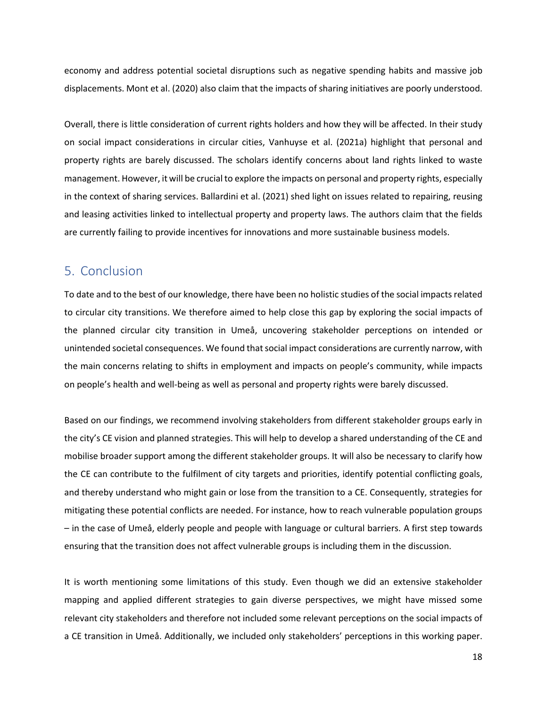economy and address potential societal disruptions such as negative spending habits and massive job displacements. Mont et al. (2020) also claim that the impacts of sharing initiatives are poorly understood.

Overall, there is little consideration of current rights holders and how they will be affected. In their study on social impact considerations in circular cities, Vanhuyse et al. (2021a) highlight that personal and property rights are barely discussed. The scholars identify concerns about land rights linked to waste management. However, it will be crucial to explore the impacts on personal and property rights, especially in the context of sharing services. Ballardini et al. (2021) shed light on issues related to repairing, reusing and leasing activities linked to intellectual property and property laws. The authors claim that the fields are currently failing to provide incentives for innovations and more sustainable business models.

## 5. Conclusion

To date and to the best of our knowledge, there have been no holistic studies of the social impacts related to circular city transitions. We therefore aimed to help close this gap by exploring the social impacts of the planned circular city transition in Umeå, uncovering stakeholder perceptions on intended or unintended societal consequences. We found that social impact considerations are currently narrow, with the main concerns relating to shifts in employment and impacts on people's community, while impacts on people's health and well-being as well as personal and property rights were barely discussed.

Based on our findings, we recommend involving stakeholders from different stakeholder groups early in the city's CE vision and planned strategies. This will help to develop a shared understanding of the CE and mobilise broader support among the different stakeholder groups. It will also be necessary to clarify how the CE can contribute to the fulfilment of city targets and priorities, identify potential conflicting goals, and thereby understand who might gain or lose from the transition to a CE. Consequently, strategies for mitigating these potential conflicts are needed. For instance, how to reach vulnerable population groups – in the case of Umeå, elderly people and people with language or cultural barriers. A first step towards ensuring that the transition does not affect vulnerable groups is including them in the discussion.

It is worth mentioning some limitations of this study. Even though we did an extensive stakeholder mapping and applied different strategies to gain diverse perspectives, we might have missed some relevant city stakeholders and therefore not included some relevant perceptions on the social impacts of a CE transition in Umeå. Additionally, we included only stakeholders' perceptions in this working paper.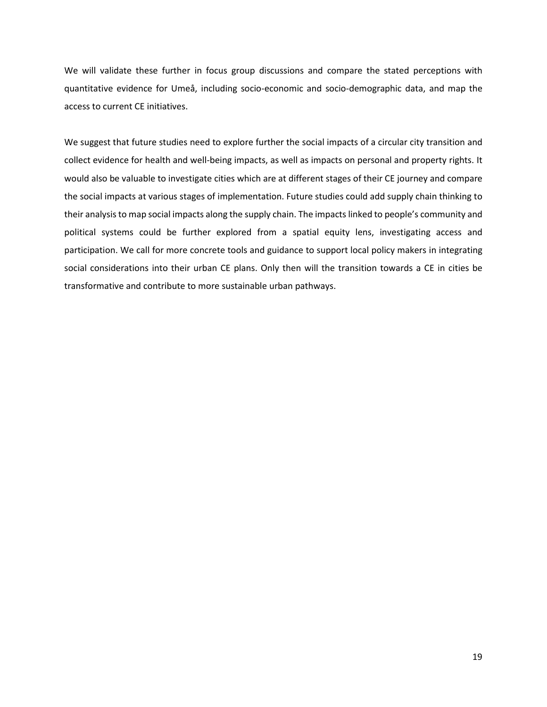We will validate these further in focus group discussions and compare the stated perceptions with quantitative evidence for Umeå, including socio-economic and socio-demographic data, and map the access to current CE initiatives.

We suggest that future studies need to explore further the social impacts of a circular city transition and collect evidence for health and well-being impacts, as well as impacts on personal and property rights. It would also be valuable to investigate cities which are at different stages of their CE journey and compare the social impacts at various stages of implementation. Future studies could add supply chain thinking to their analysis to map social impacts along the supply chain. The impacts linked to people's community and political systems could be further explored from a spatial equity lens, investigating access and participation. We call for more concrete tools and guidance to support local policy makers in integrating social considerations into their urban CE plans. Only then will the transition towards a CE in cities be transformative and contribute to more sustainable urban pathways.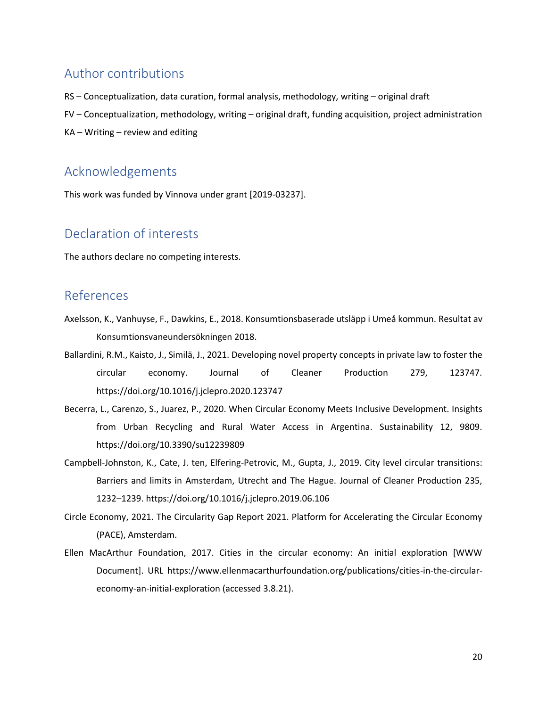# Author contributions

- RS Conceptualization, data curation, formal analysis, methodology, writing original draft
- FV Conceptualization, methodology, writing original draft, funding acquisition, project administration
- KA Writing review and editing

# Acknowledgements

This work was funded by Vinnova under grant [2019-03237].

# Declaration of interests

The authors declare no competing interests.

# References

- Axelsson, K., Vanhuyse, F., Dawkins, E., 2018. Konsumtionsbaserade utsläpp i Umeå kommun. Resultat av Konsumtionsvaneundersökningen 2018.
- Ballardini, R.M., Kaisto, J., Similä, J., 2021. Developing novel property concepts in private law to foster the circular economy. Journal of Cleaner Production 279, 123747. https://doi.org/10.1016/j.jclepro.2020.123747
- Becerra, L., Carenzo, S., Juarez, P., 2020. When Circular Economy Meets Inclusive Development. Insights from Urban Recycling and Rural Water Access in Argentina. Sustainability 12, 9809. https://doi.org/10.3390/su12239809
- Campbell-Johnston, K., Cate, J. ten, Elfering-Petrovic, M., Gupta, J., 2019. City level circular transitions: Barriers and limits in Amsterdam, Utrecht and The Hague. Journal of Cleaner Production 235, 1232–1239. https://doi.org/10.1016/j.jclepro.2019.06.106
- Circle Economy, 2021. The Circularity Gap Report 2021. Platform for Accelerating the Circular Economy (PACE), Amsterdam.
- Ellen MacArthur Foundation, 2017. Cities in the circular economy: An initial exploration [WWW Document]. URL https://www.ellenmacarthurfoundation.org/publications/cities-in-the-circulareconomy-an-initial-exploration (accessed 3.8.21).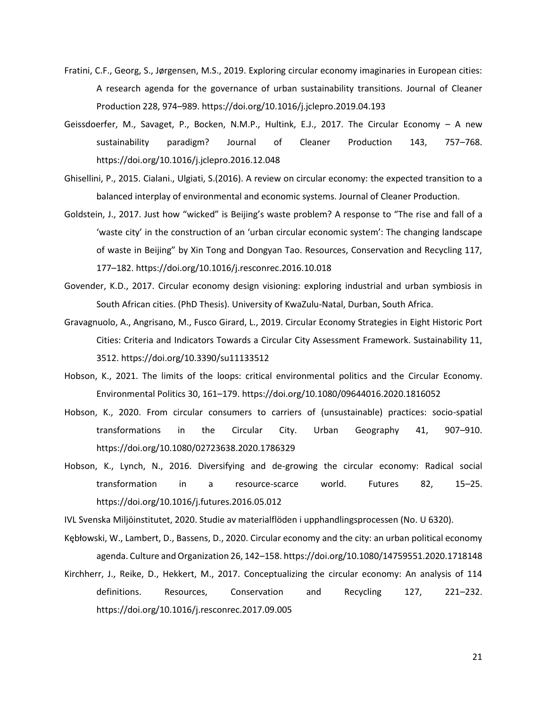- Fratini, C.F., Georg, S., Jørgensen, M.S., 2019. Exploring circular economy imaginaries in European cities: A research agenda for the governance of urban sustainability transitions. Journal of Cleaner Production 228, 974–989. https://doi.org/10.1016/j.jclepro.2019.04.193
- Geissdoerfer, M., Savaget, P., Bocken, N.M.P., Hultink, E.J., 2017. The Circular Economy A new sustainability paradigm? Journal of Cleaner Production 143, 757–768. https://doi.org/10.1016/j.jclepro.2016.12.048
- Ghisellini, P., 2015. Cialani., Ulgiati, S.(2016). A review on circular economy: the expected transition to a balanced interplay of environmental and economic systems. Journal of Cleaner Production.
- Goldstein, J., 2017. Just how "wicked" is Beijing's waste problem? A response to "The rise and fall of a 'waste city' in the construction of an 'urban circular economic system': The changing landscape of waste in Beijing" by Xin Tong and Dongyan Tao. Resources, Conservation and Recycling 117, 177–182. https://doi.org/10.1016/j.resconrec.2016.10.018
- Govender, K.D., 2017. Circular economy design visioning: exploring industrial and urban symbiosis in South African cities. (PhD Thesis). University of KwaZulu-Natal, Durban, South Africa.
- Gravagnuolo, A., Angrisano, M., Fusco Girard, L., 2019. Circular Economy Strategies in Eight Historic Port Cities: Criteria and Indicators Towards a Circular City Assessment Framework. Sustainability 11, 3512. https://doi.org/10.3390/su11133512
- Hobson, K., 2021. The limits of the loops: critical environmental politics and the Circular Economy. Environmental Politics 30, 161–179. https://doi.org/10.1080/09644016.2020.1816052
- Hobson, K., 2020. From circular consumers to carriers of (unsustainable) practices: socio-spatial transformations in the Circular City. Urban Geography 41, 907–910. https://doi.org/10.1080/02723638.2020.1786329
- Hobson, K., Lynch, N., 2016. Diversifying and de-growing the circular economy: Radical social transformation in a resource-scarce world. Futures 82, 15–25. https://doi.org/10.1016/j.futures.2016.05.012

IVL Svenska Miljöinstitutet, 2020. Studie av materialflöden i upphandlingsprocessen (No. U 6320).

- Kębłowski, W., Lambert, D., Bassens, D., 2020. Circular economy and the city: an urban political economy agenda. Culture and Organization 26, 142–158. https://doi.org/10.1080/14759551.2020.1718148
- Kirchherr, J., Reike, D., Hekkert, M., 2017. Conceptualizing the circular economy: An analysis of 114 definitions. Resources, Conservation and Recycling 127, 221–232. https://doi.org/10.1016/j.resconrec.2017.09.005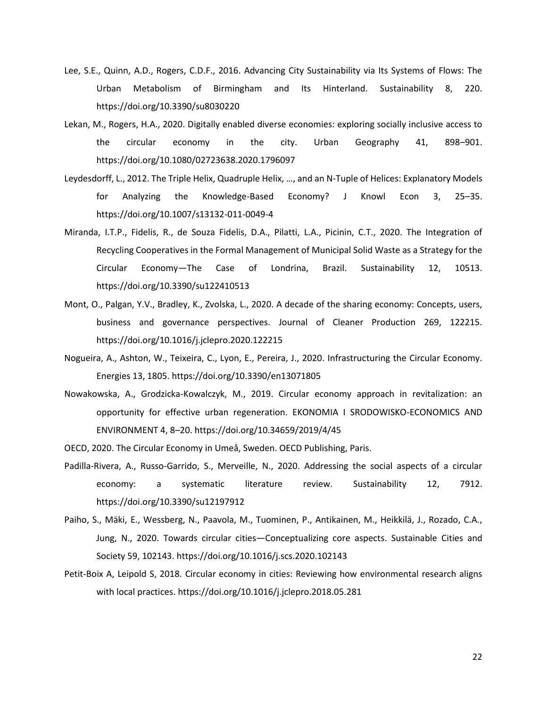- Lee, S.E., Quinn, A.D., Rogers, C.D.F., 2016. Advancing City Sustainability via Its Systems of Flows: The Urban Metabolism of Birmingham and Its Hinterland. Sustainability 8, 220. https://doi.org/10.3390/su8030220
- Lekan, M., Rogers, H.A., 2020. Digitally enabled diverse economies: exploring socially inclusive access to the circular economy in the city. Urban Geography 41, 898–901. https://doi.org/10.1080/02723638.2020.1796097
- Leydesdorff, L., 2012. The Triple Helix, Quadruple Helix, …, and an N-Tuple of Helices: Explanatory Models for Analyzing the Knowledge-Based Economy? J Knowl Econ 3, 25–35. https://doi.org/10.1007/s13132-011-0049-4
- Miranda, I.T.P., Fidelis, R., de Souza Fidelis, D.A., Pilatti, L.A., Picinin, C.T., 2020. The Integration of Recycling Cooperatives in the Formal Management of Municipal Solid Waste as a Strategy for the Circular Economy—The Case of Londrina, Brazil. Sustainability 12, 10513. https://doi.org/10.3390/su122410513
- Mont, O., Palgan, Y.V., Bradley, K., Zvolska, L., 2020. A decade of the sharing economy: Concepts, users, business and governance perspectives. Journal of Cleaner Production 269, 122215. https://doi.org/10.1016/j.jclepro.2020.122215
- Nogueira, A., Ashton, W., Teixeira, C., Lyon, E., Pereira, J., 2020. Infrastructuring the Circular Economy. Energies 13, 1805. https://doi.org/10.3390/en13071805
- Nowakowska, A., Grodzicka-Kowalczyk, M., 2019. Circular economy approach in revitalization: an opportunity for effective urban regeneration. EKONOMIA I SRODOWISKO-ECONOMICS AND ENVIRONMENT 4, 8–20. https://doi.org/10.34659/2019/4/45
- OECD, 2020. The Circular Economy in Umeå, Sweden. OECD Publishing, Paris.
- Padilla-Rivera, A., Russo-Garrido, S., Merveille, N., 2020. Addressing the social aspects of a circular economy: a systematic literature review. Sustainability 12, 7912. https://doi.org/10.3390/su12197912
- Paiho, S., Mäki, E., Wessberg, N., Paavola, M., Tuominen, P., Antikainen, M., Heikkilä, J., Rozado, C.A., Jung, N., 2020. Towards circular cities—Conceptualizing core aspects. Sustainable Cities and Society 59, 102143. https://doi.org/10.1016/j.scs.2020.102143
- Petit-Boix A, Leipold S, 2018. Circular economy in cities: Reviewing how environmental research aligns with local practices. https://doi.org/10.1016/j.jclepro.2018.05.281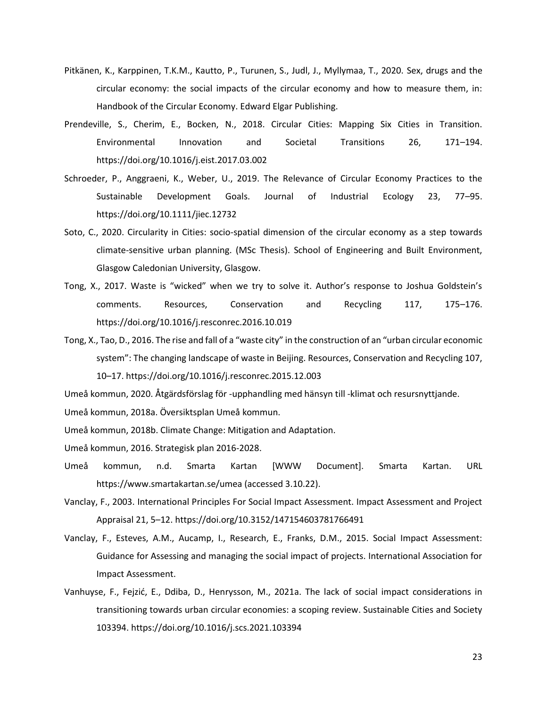- Pitkänen, K., Karppinen, T.K.M., Kautto, P., Turunen, S., Judl, J., Myllymaa, T., 2020. Sex, drugs and the circular economy: the social impacts of the circular economy and how to measure them, in: Handbook of the Circular Economy. Edward Elgar Publishing.
- Prendeville, S., Cherim, E., Bocken, N., 2018. Circular Cities: Mapping Six Cities in Transition. Environmental Innovation and Societal Transitions 26, 171–194. https://doi.org/10.1016/j.eist.2017.03.002
- Schroeder, P., Anggraeni, K., Weber, U., 2019. The Relevance of Circular Economy Practices to the Sustainable Development Goals. Journal of Industrial Ecology 23, 77–95. https://doi.org/10.1111/jiec.12732
- Soto, C., 2020. Circularity in Cities: socio-spatial dimension of the circular economy as a step towards climate-sensitive urban planning. (MSc Thesis). School of Engineering and Built Environment, Glasgow Caledonian University, Glasgow.
- Tong, X., 2017. Waste is "wicked" when we try to solve it. Author's response to Joshua Goldstein's comments. Resources, Conservation and Recycling 117, 175–176. https://doi.org/10.1016/j.resconrec.2016.10.019
- Tong, X., Tao, D., 2016. The rise and fall of a "waste city" in the construction of an "urban circular economic system": The changing landscape of waste in Beijing. Resources, Conservation and Recycling 107, 10–17. https://doi.org/10.1016/j.resconrec.2015.12.003

Umeå kommun, 2020. Åtgärdsförslag för -upphandling med hänsyn till -klimat och resursnyttjande.

- Umeå kommun, 2018a. Översiktsplan Umeå kommun.
- Umeå kommun, 2018b. Climate Change: Mitigation and Adaptation.
- Umeå kommun, 2016. Strategisk plan 2016-2028.
- Umeå kommun, n.d. Smarta Kartan [WWW Document]. Smarta Kartan. URL https://www.smartakartan.se/umea (accessed 3.10.22).
- Vanclay, F., 2003. International Principles For Social Impact Assessment. Impact Assessment and Project Appraisal 21, 5–12. https://doi.org/10.3152/147154603781766491
- Vanclay, F., Esteves, A.M., Aucamp, I., Research, E., Franks, D.M., 2015. Social Impact Assessment: Guidance for Assessing and managing the social impact of projects. International Association for Impact Assessment.
- Vanhuyse, F., Fejzić, E., Ddiba, D., Henrysson, M., 2021a. The lack of social impact considerations in transitioning towards urban circular economies: a scoping review. Sustainable Cities and Society 103394. https://doi.org/10.1016/j.scs.2021.103394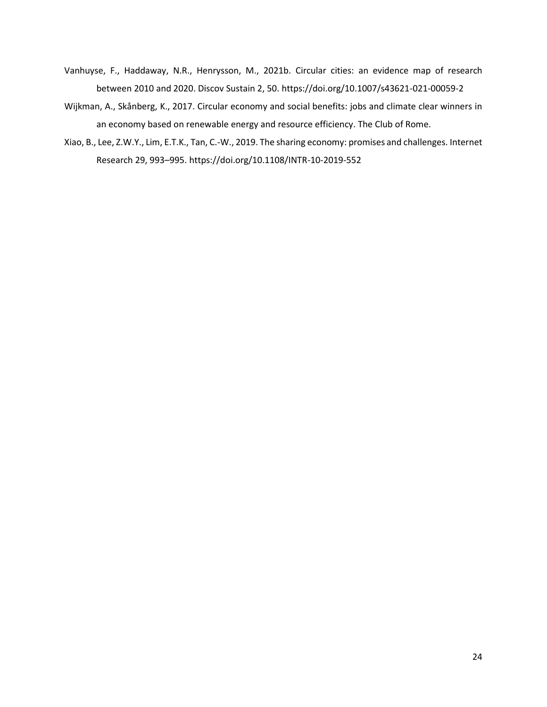- Vanhuyse, F., Haddaway, N.R., Henrysson, M., 2021b. Circular cities: an evidence map of research between 2010 and 2020. Discov Sustain 2, 50. https://doi.org/10.1007/s43621-021-00059-2
- Wijkman, A., Skånberg, K., 2017. Circular economy and social benefits: jobs and climate clear winners in an economy based on renewable energy and resource efficiency. The Club of Rome.
- Xiao, B., Lee, Z.W.Y., Lim, E.T.K., Tan, C.-W., 2019. The sharing economy: promises and challenges. Internet Research 29, 993–995. https://doi.org/10.1108/INTR-10-2019-552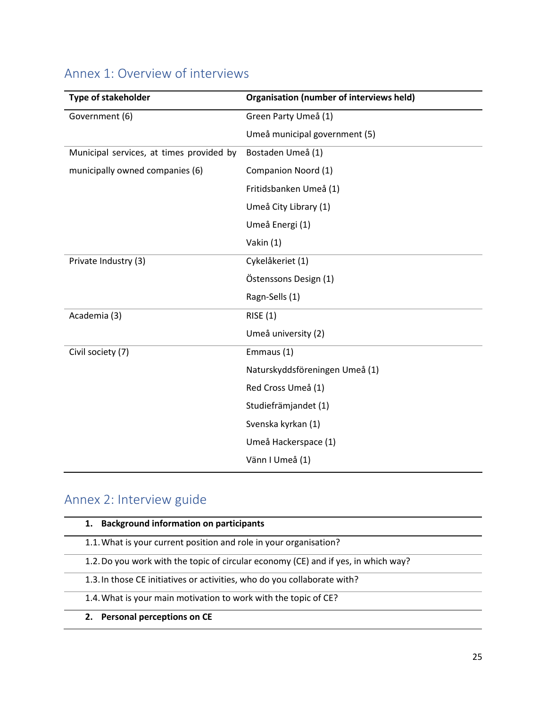| <b>Type of stakeholder</b>               | <b>Organisation (number of interviews held)</b> |
|------------------------------------------|-------------------------------------------------|
| Government (6)                           | Green Party Umeå (1)                            |
|                                          | Umeå municipal government (5)                   |
| Municipal services, at times provided by | Bostaden Umeå (1)                               |
| municipally owned companies (6)          | Companion Noord (1)                             |
|                                          | Fritidsbanken Umeå (1)                          |
|                                          | Umeå City Library (1)                           |
|                                          | Umeå Energi (1)                                 |
|                                          | Vakin (1)                                       |
| Private Industry (3)                     | Cykelåkeriet (1)                                |
|                                          | Östenssons Design (1)                           |
|                                          | Ragn-Sells (1)                                  |
| Academia (3)                             | RISE(1)                                         |
|                                          | Umeå university (2)                             |
| Civil society (7)                        | Emmaus (1)                                      |
|                                          | Naturskyddsföreningen Umeå (1)                  |
|                                          | Red Cross Umeå (1)                              |
|                                          | Studiefrämjandet (1)                            |
|                                          | Svenska kyrkan (1)                              |
|                                          | Umeå Hackerspace (1)                            |
|                                          | Vänn I Umeå (1)                                 |

# Annex 1: Overview of interviews

# Annex 2: Interview guide

| <b>Background information on participants</b><br>1.                                |  |
|------------------------------------------------------------------------------------|--|
| 1.1. What is your current position and role in your organisation?                  |  |
| 1.2. Do you work with the topic of circular economy (CE) and if yes, in which way? |  |
| 1.3. In those CE initiatives or activities, who do you collaborate with?           |  |
| 1.4. What is your main motivation to work with the topic of CE?                    |  |
| <b>Personal perceptions on CE</b><br>2.                                            |  |